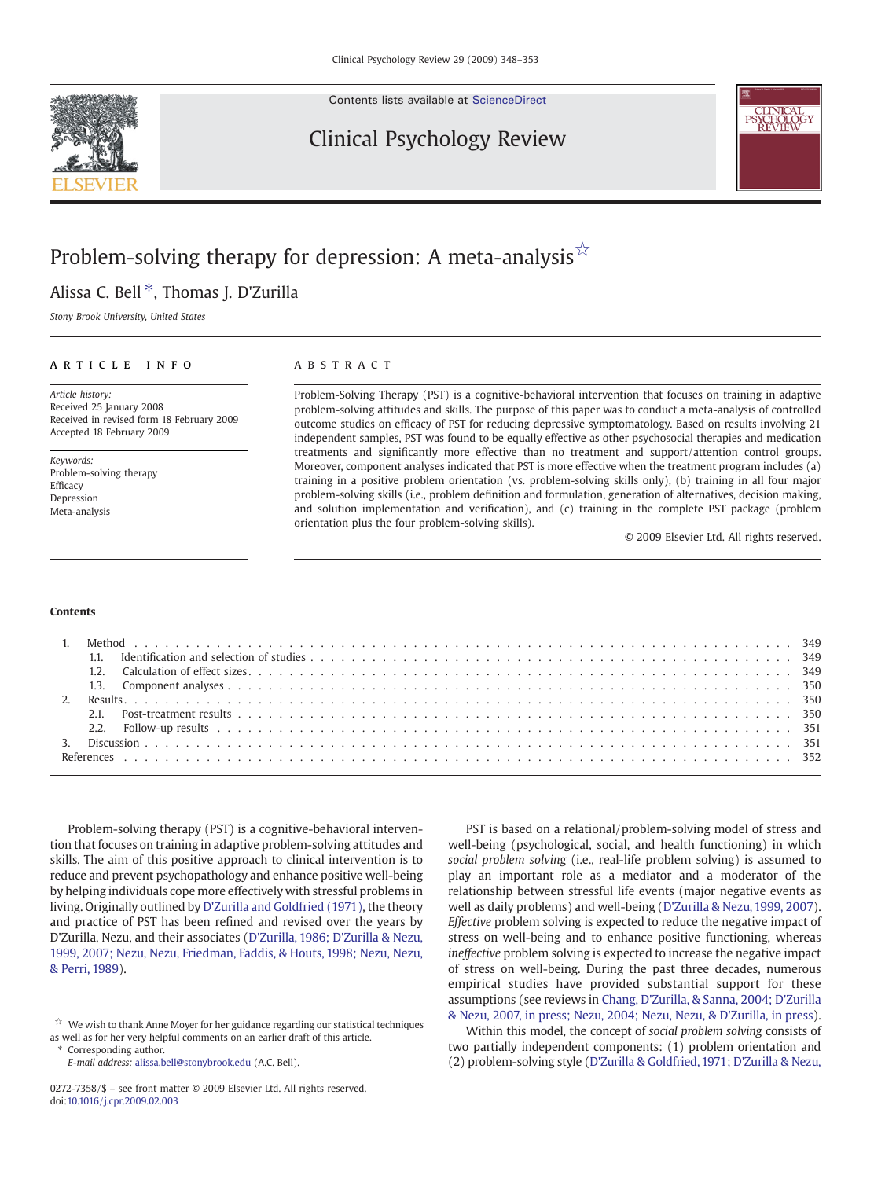Contents lists available at [ScienceDirect](http://www.sciencedirect.com/science/journal/02727358)

# Clinical Psychology Review



# Problem-solving therapy for depression: A meta-analysis $\sqrt[5]{x}$

# Alissa C. Bell<sup>\*</sup>, Thomas J. D'Zurilla

Stony Brook University, United States

#### article info abstract

Article history: Received 25 January 2008 Received in revised form 18 February 2009 Accepted 18 February 2009

Keywords: Problem-solving therapy Efficacy Depression Meta-analysis

Problem-Solving Therapy (PST) is a cognitive-behavioral intervention that focuses on training in adaptive problem-solving attitudes and skills. The purpose of this paper was to conduct a meta-analysis of controlled outcome studies on efficacy of PST for reducing depressive symptomatology. Based on results involving 21 independent samples, PST was found to be equally effective as other psychosocial therapies and medication treatments and significantly more effective than no treatment and support/attention control groups. Moreover, component analyses indicated that PST is more effective when the treatment program includes (a) training in a positive problem orientation (vs. problem-solving skills only), (b) training in all four major problem-solving skills (i.e., problem definition and formulation, generation of alternatives, decision making, and solution implementation and verification), and (c) training in the complete PST package (problem orientation plus the four problem-solving skills).

© 2009 Elsevier Ltd. All rights reserved.

#### Contents

Problem-solving therapy (PST) is a cognitive-behavioral intervention that focuses on training in adaptive problem-solving attitudes and skills. The aim of this positive approach to clinical intervention is to reduce and prevent psychopathology and enhance positive well-being by helping individuals cope more effectively with stressful problems in living. Originally outlined by [D'Zurilla and Goldfried \(1971\)](#page-5-0), the theory and practice of PST has been refined and revised over the years by D'Zurilla, Nezu, and their associates [\(D'Zurilla, 1986; D'Zurilla & Nezu,](#page-5-0) [1999, 2007; Nezu, Nezu, Friedman, Faddis, & Houts, 1998; Nezu, Nezu,](#page-5-0) [& Perri, 1989\)](#page-5-0).

⁎ Corresponding author.

E-mail address: [alissa.bell@stonybrook.edu](mailto:alissa.bell@stonybrook.edu) (A.C. Bell).

PST is based on a relational/problem-solving model of stress and well-being (psychological, social, and health functioning) in which social problem solving (i.e., real-life problem solving) is assumed to play an important role as a mediator and a moderator of the relationship between stressful life events (major negative events as well as daily problems) and well-being [\(D'Zurilla & Nezu, 1999, 2007](#page-5-0)). Effective problem solving is expected to reduce the negative impact of stress on well-being and to enhance positive functioning, whereas ineffective problem solving is expected to increase the negative impact of stress on well-being. During the past three decades, numerous empirical studies have provided substantial support for these assumptions (see reviews in [Chang, D'Zurilla, & Sanna, 2004; D'Zurilla](#page-4-0) [& Nezu, 2007, in press; Nezu, 2004; Nezu, Nezu, & D'Zurilla, in press](#page-4-0)).

Within this model, the concept of social problem solving consists of two partially independent components: (1) problem orientation and (2) problem-solving style [\(D'Zurilla & Goldfried, 1971; D'Zurilla & Nezu,](#page-5-0)

 $\mathring{\!\!\times\!\!}$  We wish to thank Anne Moyer for her guidance regarding our statistical techniques as well as for her very helpful comments on an earlier draft of this article.

<sup>0272-7358/\$</sup> – see front matter © 2009 Elsevier Ltd. All rights reserved. doi[:10.1016/j.cpr.2009.02.003](http://dx.doi.org/10.1016/j.cpr.2009.02.003)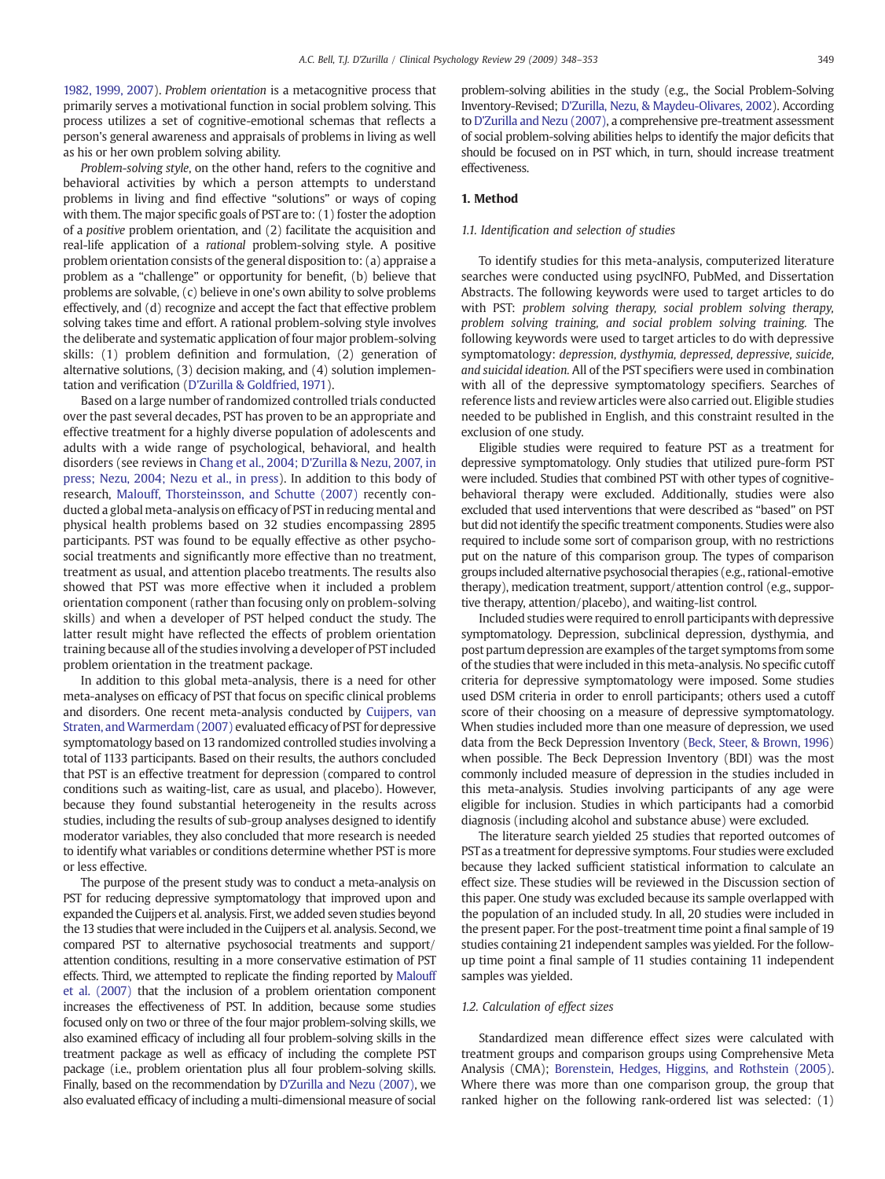[1982, 1999, 2007](#page-5-0)). Problem orientation is a metacognitive process that primarily serves a motivational function in social problem solving. This process utilizes a set of cognitive-emotional schemas that reflects a person's general awareness and appraisals of problems in living as well as his or her own problem solving ability.

Problem-solving style, on the other hand, refers to the cognitive and behavioral activities by which a person attempts to understand problems in living and find effective "solutions" or ways of coping with them. The major specific goals of PST are to: (1) foster the adoption of a positive problem orientation, and (2) facilitate the acquisition and real-life application of a rational problem-solving style. A positive problem orientation consists of the general disposition to: (a) appraise a problem as a "challenge" or opportunity for benefit, (b) believe that problems are solvable, (c) believe in one's own ability to solve problems effectively, and (d) recognize and accept the fact that effective problem solving takes time and effort. A rational problem-solving style involves the deliberate and systematic application of four major problem-solving skills: (1) problem definition and formulation, (2) generation of alternative solutions, (3) decision making, and (4) solution implementation and verification ([D'Zurilla & Goldfried, 1971\)](#page-5-0).

Based on a large number of randomized controlled trials conducted over the past several decades, PST has proven to be an appropriate and effective treatment for a highly diverse population of adolescents and adults with a wide range of psychological, behavioral, and health disorders (see reviews in [Chang et al., 2004; D'Zurilla & Nezu, 2007, in](#page-4-0) [press; Nezu, 2004; Nezu et al., in press\)](#page-4-0). In addition to this body of research, [Malouff, Thorsteinsson, and Schutte \(2007\)](#page-5-0) recently conducted a global meta-analysis on efficacy of PST in reducing mental and physical health problems based on 32 studies encompassing 2895 participants. PST was found to be equally effective as other psychosocial treatments and significantly more effective than no treatment, treatment as usual, and attention placebo treatments. The results also showed that PST was more effective when it included a problem orientation component (rather than focusing only on problem-solving skills) and when a developer of PST helped conduct the study. The latter result might have reflected the effects of problem orientation training because all of the studies involving a developer of PST included problem orientation in the treatment package.

In addition to this global meta-analysis, there is a need for other meta-analyses on efficacy of PST that focus on specific clinical problems and disorders. One recent meta-analysis conducted by [Cuijpers, van](#page-4-0) Straten, and Warmerdam (2007) evaluated efficacy of PST for depressive symptomatology based on 13 randomized controlled studies involving a total of 1133 participants. Based on their results, the authors concluded that PST is an effective treatment for depression (compared to control conditions such as waiting-list, care as usual, and placebo). However, because they found substantial heterogeneity in the results across studies, including the results of sub-group analyses designed to identify moderator variables, they also concluded that more research is needed to identify what variables or conditions determine whether PST is more or less effective.

The purpose of the present study was to conduct a meta-analysis on PST for reducing depressive symptomatology that improved upon and expanded the Cuijpers et al. analysis. First, we added seven studies beyond the 13 studies that were included in the Cuijpers et al. analysis. Second, we compared PST to alternative psychosocial treatments and support/ attention conditions, resulting in a more conservative estimation of PST effects. Third, we attempted to replicate the finding reported by [Malouff](#page-5-0) [et al. \(2007\)](#page-5-0) that the inclusion of a problem orientation component increases the effectiveness of PST. In addition, because some studies focused only on two or three of the four major problem-solving skills, we also examined efficacy of including all four problem-solving skills in the treatment package as well as efficacy of including the complete PST package (i.e., problem orientation plus all four problem-solving skills. Finally, based on the recommendation by [D'Zurilla and Nezu \(2007\),](#page-5-0) we also evaluated efficacy of including a multi-dimensional measure of social

problem-solving abilities in the study (e.g., the Social Problem-Solving Inventory-Revised; [D'Zurilla, Nezu, & Maydeu-Olivares, 2002\)](#page-5-0). According to [D'Zurilla and Nezu \(2007\)](#page-5-0), a comprehensive pre-treatment assessment of social problem-solving abilities helps to identify the major deficits that should be focused on in PST which, in turn, should increase treatment effectiveness.

#### 1. Method

#### 1.1. Identification and selection of studies

To identify studies for this meta-analysis, computerized literature searches were conducted using psycINFO, PubMed, and Dissertation Abstracts. The following keywords were used to target articles to do with PST: problem solving therapy, social problem solving therapy, problem solving training, and social problem solving training. The following keywords were used to target articles to do with depressive symptomatology: depression, dysthymia, depressed, depressive, suicide, and suicidal ideation. All of the PST specifiers were used in combination with all of the depressive symptomatology specifiers. Searches of reference lists and review articles were also carried out. Eligible studies needed to be published in English, and this constraint resulted in the exclusion of one study.

Eligible studies were required to feature PST as a treatment for depressive symptomatology. Only studies that utilized pure-form PST were included. Studies that combined PST with other types of cognitivebehavioral therapy were excluded. Additionally, studies were also excluded that used interventions that were described as "based" on PST but did not identify the specific treatment components. Studies were also required to include some sort of comparison group, with no restrictions put on the nature of this comparison group. The types of comparison groups included alternative psychosocial therapies (e.g., rational-emotive therapy), medication treatment, support/attention control (e.g., supportive therapy, attention/placebo), and waiting-list control.

Included studies were required to enroll participants with depressive symptomatology. Depression, subclinical depression, dysthymia, and post partum depression are examples of the target symptoms from some of the studies that were included in this meta-analysis. No specific cutoff criteria for depressive symptomatology were imposed. Some studies used DSM criteria in order to enroll participants; others used a cutoff score of their choosing on a measure of depressive symptomatology. When studies included more than one measure of depression, we used data from the Beck Depression Inventory [\(Beck, Steer, & Brown, 1996](#page-4-0)) when possible. The Beck Depression Inventory (BDI) was the most commonly included measure of depression in the studies included in this meta-analysis. Studies involving participants of any age were eligible for inclusion. Studies in which participants had a comorbid diagnosis (including alcohol and substance abuse) were excluded.

The literature search yielded 25 studies that reported outcomes of PST as a treatment for depressive symptoms. Four studies were excluded because they lacked sufficient statistical information to calculate an effect size. These studies will be reviewed in the Discussion section of this paper. One study was excluded because its sample overlapped with the population of an included study. In all, 20 studies were included in the present paper. For the post-treatment time point a final sample of 19 studies containing 21 independent samples was yielded. For the followup time point a final sample of 11 studies containing 11 independent samples was yielded.

#### 1.2. Calculation of effect sizes

Standardized mean difference effect sizes were calculated with treatment groups and comparison groups using Comprehensive Meta Analysis (CMA); [Borenstein, Hedges, Higgins, and Rothstein \(2005\).](#page-4-0) Where there was more than one comparison group, the group that ranked higher on the following rank-ordered list was selected: (1)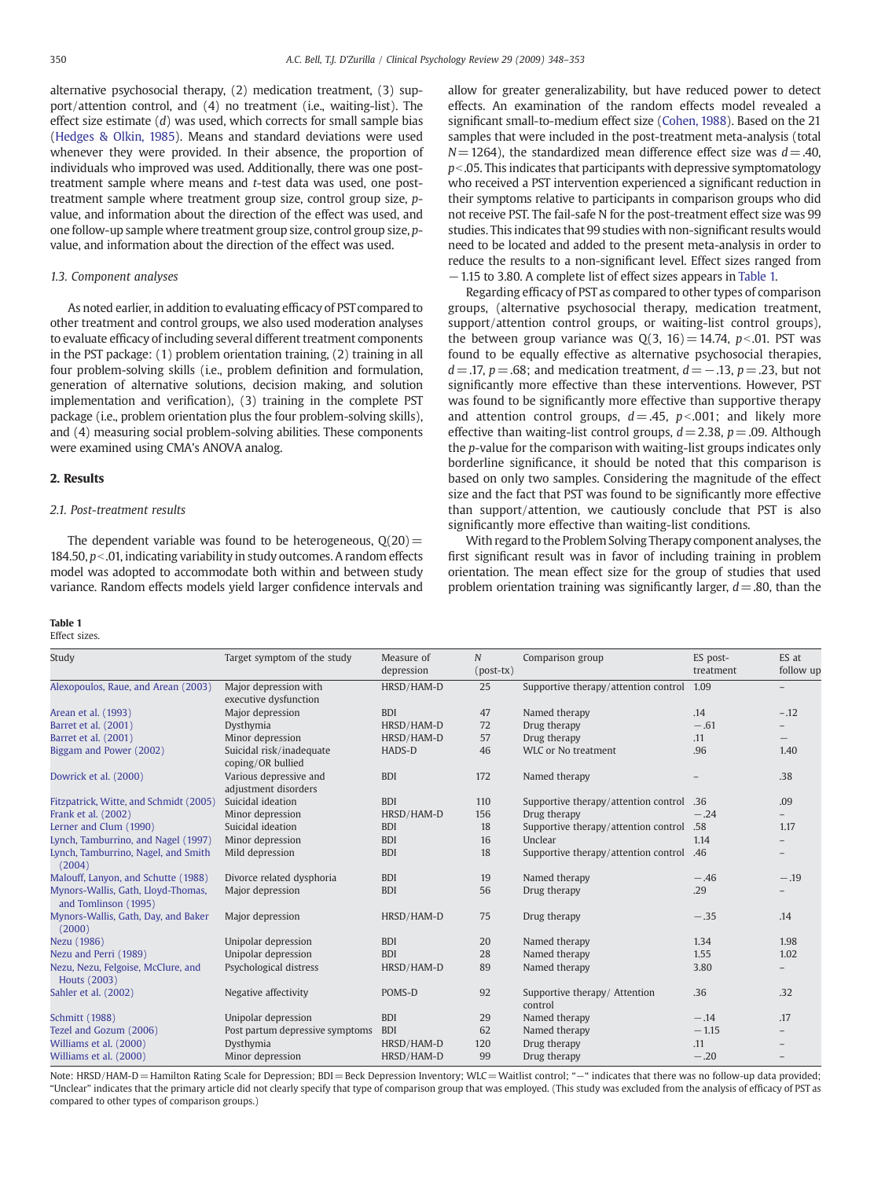<span id="page-2-0"></span>alternative psychosocial therapy, (2) medication treatment, (3) support/attention control, and (4) no treatment (i.e., waiting-list). The effect size estimate  $(d)$  was used, which corrects for small sample bias [\(Hedges & Olkin, 1985\)](#page-5-0). Means and standard deviations were used whenever they were provided. In their absence, the proportion of individuals who improved was used. Additionally, there was one posttreatment sample where means and t-test data was used, one posttreatment sample where treatment group size, control group size, pvalue, and information about the direction of the effect was used, and one follow-up sample where treatment group size, control group size, pvalue, and information about the direction of the effect was used.

### 1.3. Component analyses

As noted earlier, in addition to evaluating efficacy of PST compared to other treatment and control groups, we also used moderation analyses to evaluate efficacy of including several different treatment components in the PST package: (1) problem orientation training, (2) training in all four problem-solving skills (i.e., problem definition and formulation, generation of alternative solutions, decision making, and solution implementation and verification), (3) training in the complete PST package (i.e., problem orientation plus the four problem-solving skills), and (4) measuring social problem-solving abilities. These components were examined using CMA's ANOVA analog.

#### 2. Results

#### 2.1. Post-treatment results

The dependent variable was found to be heterogeneous,  $Q(20)$  = 184.50,  $p<$ .01, indicating variability in study outcomes. A random effects model was adopted to accommodate both within and between study variance. Random effects models yield larger confidence intervals and

#### Table 1

## Effect sizes.

allow for greater generalizability, but have reduced power to detect effects. An examination of the random effects model revealed a significant small-to-medium effect size ([Cohen, 1988\)](#page-4-0). Based on the 21 samples that were included in the post-treatment meta-analysis (total  $N=1264$ ), the standardized mean difference effect size was  $d=.40$ ,  $p<$ .05. This indicates that participants with depressive symptomatology who received a PST intervention experienced a significant reduction in their symptoms relative to participants in comparison groups who did not receive PST. The fail-safe N for the post-treatment effect size was 99 studies. This indicates that 99 studies with non-significant results would need to be located and added to the present meta-analysis in order to reduce the results to a non-significant level. Effect sizes ranged from −1.15 to 3.80. A complete list of effect sizes appears in Table 1.

Regarding efficacy of PST as compared to other types of comparison groups, (alternative psychosocial therapy, medication treatment, support/attention control groups, or waiting-list control groups), the between group variance was  $Q(3, 16) = 14.74$ , p< 01. PST was found to be equally effective as alternative psychosocial therapies,  $d=$  .17, p = .68; and medication treatment,  $d=-$  .13, p = .23, but not significantly more effective than these interventions. However, PST was found to be significantly more effective than supportive therapy and attention control groups,  $d = .45$ ,  $p < .001$ ; and likely more effective than waiting-list control groups,  $d = 2.38$ ,  $p = .09$ . Although the p-value for the comparison with waiting-list groups indicates only borderline significance, it should be noted that this comparison is based on only two samples. Considering the magnitude of the effect size and the fact that PST was found to be significantly more effective than support/attention, we cautiously conclude that PST is also significantly more effective than waiting-list conditions.

With regard to the Problem Solving Therapy component analyses, the first significant result was in favor of including training in problem orientation. The mean effect size for the group of studies that used problem orientation training was significantly larger,  $d = .80$ , than the

| Study                                                      | Target symptom of the study                    | Measure of | $\overline{N}$       | Comparison group                          | ES post-          | ES at                    |
|------------------------------------------------------------|------------------------------------------------|------------|----------------------|-------------------------------------------|-------------------|--------------------------|
|                                                            |                                                | depression | $(post-tx)$          |                                           | treatment         | follow up                |
| Alexopoulos, Raue, and Arean (2003)                        | Major depression with<br>executive dysfunction | HRSD/HAM-D | 25                   | Supportive therapy/attention control 1.09 |                   | $-$                      |
| Arean et al. (1993)                                        | Major depression                               | <b>BDI</b> | 47                   | Named therapy                             | .14               | $-.12$                   |
| Barret et al. (2001)                                       | Dysthymia                                      | HRSD/HAM-D | 72                   | Drug therapy                              | $-.61$            |                          |
| Barret et al. (2001)                                       | Minor depression                               | HRSD/HAM-D | 57                   | Drug therapy                              | .11               | $\overline{\phantom{0}}$ |
| Biggam and Power (2002)                                    | Suicidal risk/inadequate<br>coping/OR bullied  | HADS-D     | 46                   | WLC or No treatment                       | .96               | 1.40                     |
| Dowrick et al. (2000)                                      | Various depressive and<br>adjustment disorders | <b>BDI</b> | 172<br>Named therapy |                                           | $\qquad \qquad -$ | .38                      |
| Fitzpatrick, Witte, and Schmidt (2005)                     | Suicidal ideation                              | <b>BDI</b> | 110                  | Supportive therapy/attention control      | .36               | .09                      |
| Frank et al. (2002)                                        | Minor depression                               | HRSD/HAM-D | 156                  | Drug therapy                              | $-.24$            |                          |
| Lerner and Clum (1990)                                     | Suicidal ideation                              | <b>BDI</b> | 18                   | 58. Supportive therapy/attention control  |                   | 1.17                     |
| Lynch, Tamburrino, and Nagel (1997)                        | Minor depression                               | <b>BDI</b> | 16                   | Unclear                                   | 1.14              |                          |
| Lynch, Tamburrino, Nagel, and Smith<br>(2004)              | Mild depression                                | <b>BDI</b> | 18                   | Supportive therapy/attention control      | .46               |                          |
| Malouff, Lanyon, and Schutte (1988)                        | Divorce related dysphoria                      | <b>BDI</b> | 19                   | Named therapy                             | $-.46$            | $-.19$                   |
| Mynors-Wallis, Gath, Lloyd-Thomas,<br>and Tomlinson (1995) | Major depression                               | <b>BDI</b> | 56                   | Drug therapy                              | .29               |                          |
| Mynors-Wallis, Gath, Day, and Baker<br>(2000)              | Major depression                               | HRSD/HAM-D | 75                   | Drug therapy                              | $-.35$            | .14                      |
| Nezu (1986)                                                | Unipolar depression                            | <b>BDI</b> | 20                   | Named therapy                             | 1.34              | 1.98                     |
| Nezu and Perri (1989)                                      | Unipolar depression                            | <b>BDI</b> | 28                   | Named therapy                             | 1.55              | 1.02                     |
| Nezu, Nezu, Felgoise, McClure, and<br><b>Houts (2003)</b>  | Psychological distress                         | HRSD/HAM-D | 89                   | Named therapy                             | 3.80              |                          |
| Sahler et al. (2002)                                       | Negative affectivity                           | POMS-D     | 92                   | Supportive therapy/ Attention<br>control  | .36               | .32                      |
| <b>Schmitt (1988)</b>                                      | Unipolar depression                            | <b>BDI</b> | 29                   | Named therapy                             | $-.14$            | .17                      |
| Tezel and Gozum (2006)                                     | Post partum depressive symptoms                | <b>BDI</b> | 62                   | Named therapy                             | $-1.15$           |                          |
| Williams et al. (2000)                                     | Dysthymia                                      | HRSD/HAM-D | 120                  | Drug therapy                              | .11               |                          |
| Williams et al. (2000)                                     | Minor depression                               | HRSD/HAM-D | 99                   | Drug therapy                              | $-.20$            |                          |

Note: HRSD/HAM-D=Hamilton Rating Scale for Depression; BDI= Beck Depression Inventory; WLC=Waitlist control; "-" indicates that there was no follow-up data provided; "Unclear" indicates that the primary article did not clearly specify that type of comparison group that was employed. (This study was excluded from the analysis of efficacy of PST as compared to other types of comparison groups.)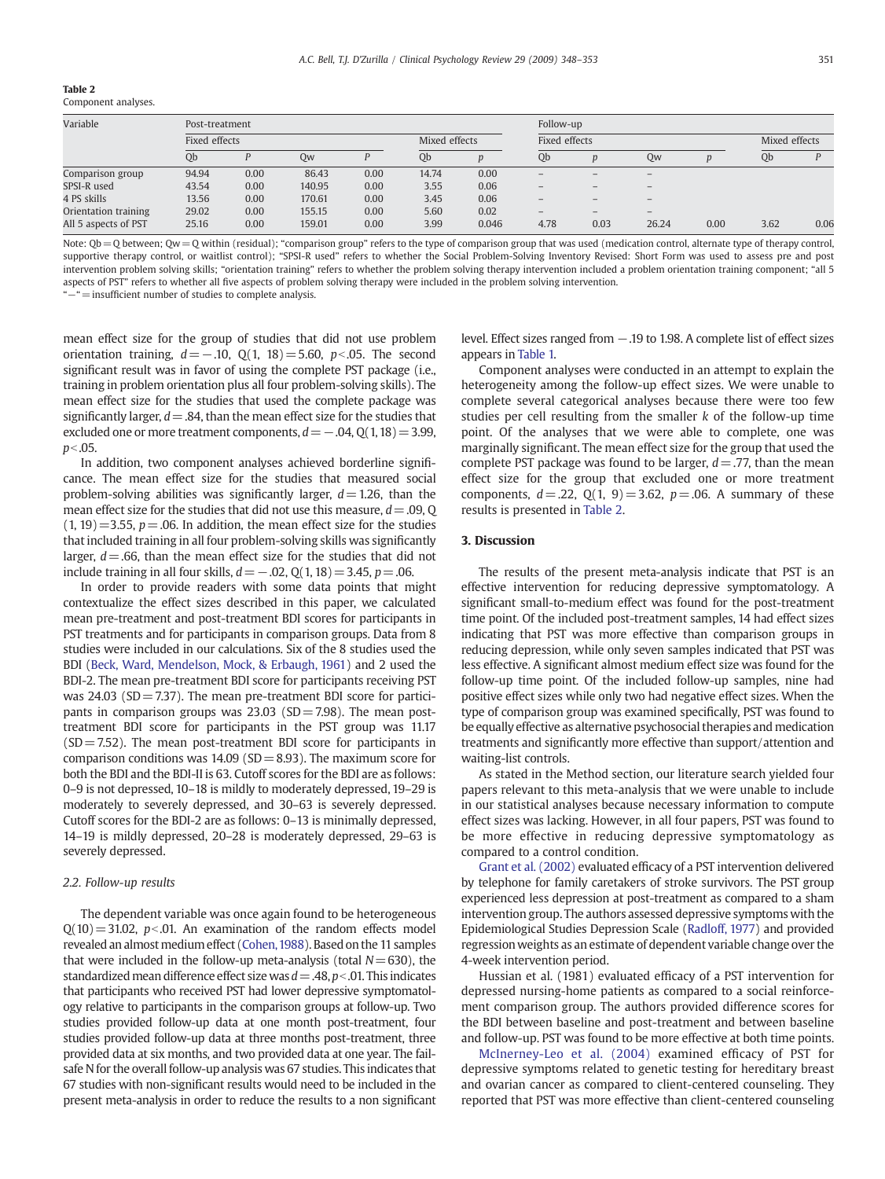|--|--|

| Component analyses. |  |
|---------------------|--|
|---------------------|--|

| Variable             | Post-treatment |      |        |               |       |       | Follow-up                |      |                          |      |               |      |
|----------------------|----------------|------|--------|---------------|-------|-------|--------------------------|------|--------------------------|------|---------------|------|
|                      | Fixed effects  |      |        | Mixed effects |       |       | Fixed effects            |      |                          |      | Mixed effects |      |
|                      | Qb             |      | 0w     |               | Qb    |       | Qb                       |      | Qw                       |      | Qb            |      |
| Comparison group     | 94.94          | 0.00 | 86.43  | 0.00          | 14.74 | 0.00  | $\qquad \qquad -$        |      | $\overline{\phantom{0}}$ |      |               |      |
| SPSI-R used          | 43.54          | 0.00 | 140.95 | 0.00          | 3.55  | 0.06  | $\overline{\phantom{0}}$ |      | $\qquad \qquad -$        |      |               |      |
| 4 PS skills          | 13.56          | 0.00 | 170.61 | 0.00          | 3.45  | 0.06  | $\overline{\phantom{0}}$ |      |                          |      |               |      |
| Orientation training | 29.02          | 0.00 | 155.15 | 0.00          | 5.60  | 0.02  | $\qquad \qquad -$        |      | $\overline{\phantom{0}}$ |      |               |      |
| All 5 aspects of PST | 25.16          | 0.00 | 159.01 | 0.00          | 3.99  | 0.046 | 4.78                     | 0.03 | 26.24                    | 0.00 | 3.62          | 0.06 |

Note:  $Qb = Q$  between;  $Qw = Q$  within (residual); "comparison group" refers to the type of comparison group that was used (medication control, alternate type of therapy control, supportive therapy control, or waitlist control); "SPSI-R used" refers to whether the Social Problem-Solving Inventory Revised: Short Form was used to assess pre and post intervention problem solving skills; "orientation training" refers to whether the problem solving therapy intervention included a problem orientation training component; "all 5 aspects of PST" refers to whether all five aspects of problem solving therapy were included in the problem solving intervention.

"−"=insufficient number of studies to complete analysis.

mean effect size for the group of studies that did not use problem orientation training,  $d=-.10$ ,  $Q(1, 18)=5.60$ ,  $p<.05$ . The second significant result was in favor of using the complete PST package (i.e., training in problem orientation plus all four problem-solving skills). The mean effect size for the studies that used the complete package was significantly larger,  $d = .84$ , than the mean effect size for the studies that excluded one or more treatment components,  $d=-.04, 0(1, 18)=3.99$ ,  $p<.05$ .

In addition, two component analyses achieved borderline significance. The mean effect size for the studies that measured social problem-solving abilities was significantly larger,  $d=1.26$ , than the mean effect size for the studies that did not use this measure,  $d = .09$ , Q  $(1, 19) = 3.55$ ,  $p = .06$ . In addition, the mean effect size for the studies that included training in all four problem-solving skills was significantly larger,  $d = .66$ , than the mean effect size for the studies that did not include training in all four skills,  $d = −.02$ , Q(1, 18) = 3.45, p = .06.

In order to provide readers with some data points that might contextualize the effect sizes described in this paper, we calculated mean pre-treatment and post-treatment BDI scores for participants in PST treatments and for participants in comparison groups. Data from 8 studies were included in our calculations. Six of the 8 studies used the BDI [\(Beck, Ward, Mendelson, Mock, & Erbaugh, 1961](#page-4-0)) and 2 used the BDI-2. The mean pre-treatment BDI score for participants receiving PST was  $24.03$  (SD = 7.37). The mean pre-treatment BDI score for participants in comparison groups was  $23.03$  (SD=7.98). The mean posttreatment BDI score for participants in the PST group was 11.17  $(SD = 7.52)$ . The mean post-treatment BDI score for participants in comparison conditions was  $14.09$  (SD = 8.93). The maximum score for both the BDI and the BDI-II is 63. Cutoff scores for the BDI are as follows: 0–9 is not depressed, 10–18 is mildly to moderately depressed, 19–29 is moderately to severely depressed, and 30–63 is severely depressed. Cutoff scores for the BDI-2 are as follows: 0–13 is minimally depressed, 14–19 is mildly depressed, 20–28 is moderately depressed, 29–63 is severely depressed.

#### 2.2. Follow-up results

The dependent variable was once again found to be heterogeneous  $Q(10)=31.02$ ,  $p<0.01$ . An examination of the random effects model revealed an almost medium effect (Cohen, 1988). Based on the 11 samples that were included in the follow-up meta-analysis (total  $N=630$ ), the standardized mean difference effect size was  $d = .48$ ,  $p < .01$ . This indicates that participants who received PST had lower depressive symptomatology relative to participants in the comparison groups at follow-up. Two studies provided follow-up data at one month post-treatment, four studies provided follow-up data at three months post-treatment, three provided data at six months, and two provided data at one year. The failsafe N for the overall follow-up analysis was 67 studies. This indicates that 67 studies with non-significant results would need to be included in the present meta-analysis in order to reduce the results to a non significant level. Effect sizes ranged from −.19 to 1.98. A complete list of effect sizes appears in [Table 1.](#page-2-0)

Component analyses were conducted in an attempt to explain the heterogeneity among the follow-up effect sizes. We were unable to complete several categorical analyses because there were too few studies per cell resulting from the smaller k of the follow-up time point. Of the analyses that we were able to complete, one was marginally significant. The mean effect size for the group that used the complete PST package was found to be larger,  $d = .77$ , than the mean effect size for the group that excluded one or more treatment components,  $d = 0.22$ ,  $Q(1, 9) = 3.62$ ,  $p = 0.06$ . A summary of these results is presented in Table 2.

#### 3. Discussion

The results of the present meta-analysis indicate that PST is an effective intervention for reducing depressive symptomatology. A significant small-to-medium effect was found for the post-treatment time point. Of the included post-treatment samples, 14 had effect sizes indicating that PST was more effective than comparison groups in reducing depression, while only seven samples indicated that PST was less effective. A significant almost medium effect size was found for the follow-up time point. Of the included follow-up samples, nine had positive effect sizes while only two had negative effect sizes. When the type of comparison group was examined specifically, PST was found to be equally effective as alternative psychosocial therapies and medication treatments and significantly more effective than support/attention and waiting-list controls.

As stated in the Method section, our literature search yielded four papers relevant to this meta-analysis that we were unable to include in our statistical analyses because necessary information to compute effect sizes was lacking. However, in all four papers, PST was found to be more effective in reducing depressive symptomatology as compared to a control condition.

[Grant et al. \(2002\)](#page-5-0) evaluated efficacy of a PST intervention delivered by telephone for family caretakers of stroke survivors. The PST group experienced less depression at post-treatment as compared to a sham intervention group. The authors assessed depressive symptoms with the Epidemiological Studies Depression Scale ([Radloff, 1977](#page-5-0)) and provided regressionweights as an estimate of dependent variable change over the 4-week intervention period.

Hussian et al. (1981) evaluated efficacy of a PST intervention for depressed nursing-home patients as compared to a social reinforcement comparison group. The authors provided difference scores for the BDI between baseline and post-treatment and between baseline and follow-up. PST was found to be more effective at both time points.

[McInerney-Leo et al. \(2004\)](#page-5-0) examined efficacy of PST for depressive symptoms related to genetic testing for hereditary breast and ovarian cancer as compared to client-centered counseling. They reported that PST was more effective than client-centered counseling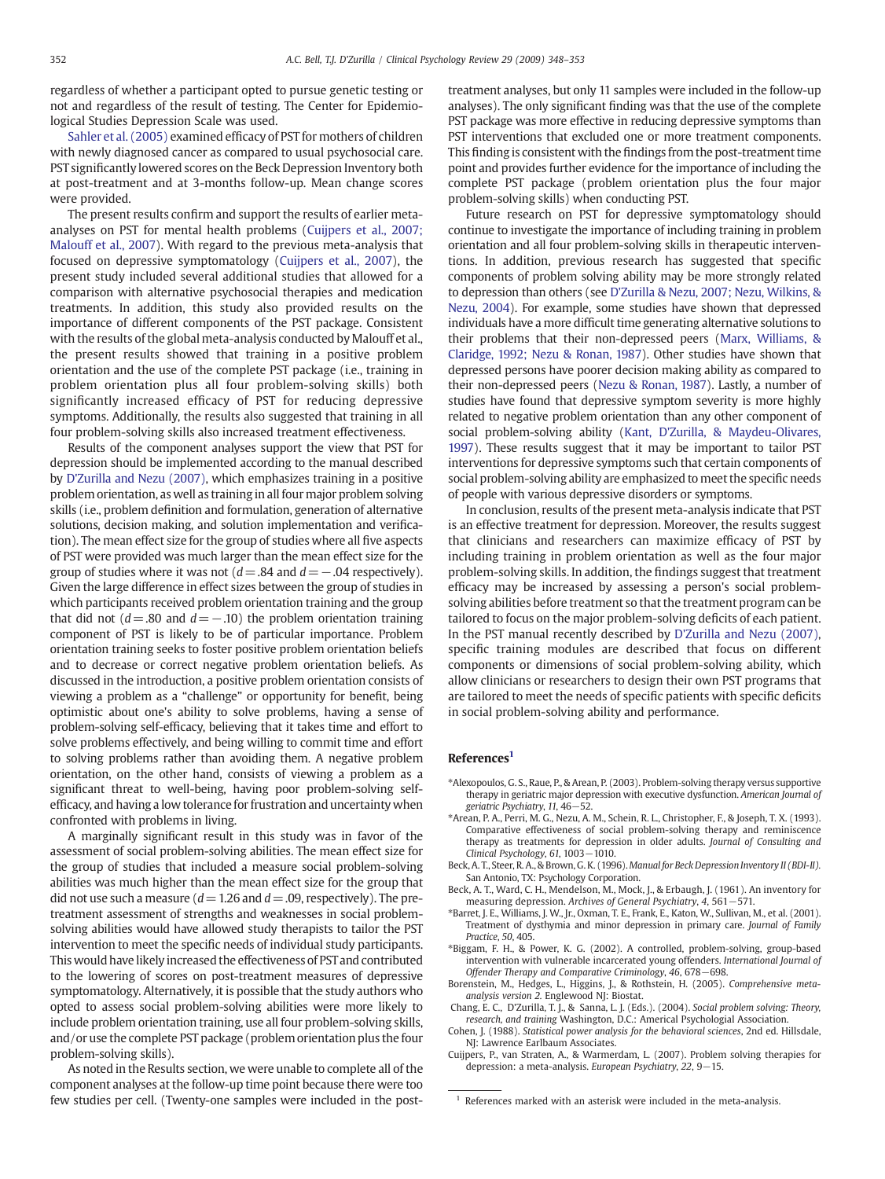<span id="page-4-0"></span>regardless of whether a participant opted to pursue genetic testing or not and regardless of the result of testing. The Center for Epidemiological Studies Depression Scale was used.

[Sahler et al. \(2005\)](#page-5-0) examined efficacy of PST for mothers of children with newly diagnosed cancer as compared to usual psychosocial care. PST significantlylowered scores on the Beck Depression Inventory both at post-treatment and at 3-months follow-up. Mean change scores were provided.

The present results confirm and support the results of earlier metaanalyses on PST for mental health problems (Cuijpers et al., 2007; Malouff et al., 2007). With regard to the previous meta-analysis that focused on depressive symptomatology (Cuijpers et al., 2007), the present study included several additional studies that allowed for a comparison with alternative psychosocial therapies and medication treatments. In addition, this study also provided results on the importance of different components of the PST package. Consistent with the results of the global meta-analysis conducted by Malouff et al., the present results showed that training in a positive problem orientation and the use of the complete PST package (i.e., training in problem orientation plus all four problem-solving skills) both significantly increased efficacy of PST for reducing depressive symptoms. Additionally, the results also suggested that training in all four problem-solving skills also increased treatment effectiveness.

Results of the component analyses support the view that PST for depression should be implemented according to the manual described by [D'Zurilla and Nezu \(2007\)](#page-5-0), which emphasizes training in a positive problem orientation, as well as training in all four major problem solving skills (i.e., problem definition and formulation, generation of alternative solutions, decision making, and solution implementation and verification). The mean effect size for the group of studies where all five aspects of PST were provided was much larger than the mean effect size for the group of studies where it was not  $(d=.84$  and  $d=-.04$  respectively). Given the large difference in effect sizes between the group of studies in which participants received problem orientation training and the group that did not ( $d$ =.80 and  $d$  = −.10) the problem orientation training component of PST is likely to be of particular importance. Problem orientation training seeks to foster positive problem orientation beliefs and to decrease or correct negative problem orientation beliefs. As discussed in the introduction, a positive problem orientation consists of viewing a problem as a "challenge" or opportunity for benefit, being optimistic about one's ability to solve problems, having a sense of problem-solving self-efficacy, believing that it takes time and effort to solve problems effectively, and being willing to commit time and effort to solving problems rather than avoiding them. A negative problem orientation, on the other hand, consists of viewing a problem as a significant threat to well-being, having poor problem-solving selfefficacy, and having a low tolerance for frustration and uncertainty when confronted with problems in living.

A marginally significant result in this study was in favor of the assessment of social problem-solving abilities. The mean effect size for the group of studies that included a measure social problem-solving abilities was much higher than the mean effect size for the group that did not use such a measure ( $d=1.26$  and  $d=.09$ , respectively). The pretreatment assessment of strengths and weaknesses in social problemsolving abilities would have allowed study therapists to tailor the PST intervention to meet the specific needs of individual study participants. This would have likely increased the effectiveness of PST and contributed to the lowering of scores on post-treatment measures of depressive symptomatology. Alternatively, it is possible that the study authors who opted to assess social problem-solving abilities were more likely to include problem orientation training, use all four problem-solving skills, and/or use the complete PST package (problem orientation plus the four problem-solving skills).

As noted in the Results section, we were unable to complete all of the component analyses at the follow-up time point because there were too few studies per cell. (Twenty-one samples were included in the posttreatment analyses, but only 11 samples were included in the follow-up analyses). The only significant finding was that the use of the complete PST package was more effective in reducing depressive symptoms than PST interventions that excluded one or more treatment components. This finding is consistent with the findings from the post-treatment time point and provides further evidence for the importance of including the complete PST package (problem orientation plus the four major problem-solving skills) when conducting PST.

Future research on PST for depressive symptomatology should continue to investigate the importance of including training in problem orientation and all four problem-solving skills in therapeutic interventions. In addition, previous research has suggested that specific components of problem solving ability may be more strongly related to depression than others (see [D'Zurilla & Nezu, 2007; Nezu, Wilkins, &](#page-5-0) [Nezu, 2004](#page-5-0)). For example, some studies have shown that depressed individuals have a more difficult time generating alternative solutions to their problems that their non-depressed peers ([Marx, Williams, &](#page-5-0) [Claridge, 1992; Nezu & Ronan, 1987\)](#page-5-0). Other studies have shown that depressed persons have poorer decision making ability as compared to their non-depressed peers ([Nezu & Ronan, 1987\)](#page-5-0). Lastly, a number of studies have found that depressive symptom severity is more highly related to negative problem orientation than any other component of social problem-solving ability [\(Kant, D'Zurilla, & Maydeu-Olivares,](#page-5-0) [1997\)](#page-5-0). These results suggest that it may be important to tailor PST interventions for depressive symptoms such that certain components of social problem-solving ability are emphasized to meet the specific needs of people with various depressive disorders or symptoms.

In conclusion, results of the present meta-analysis indicate that PST is an effective treatment for depression. Moreover, the results suggest that clinicians and researchers can maximize efficacy of PST by including training in problem orientation as well as the four major problem-solving skills. In addition, the findings suggest that treatment efficacy may be increased by assessing a person's social problemsolving abilities before treatment so that the treatment program can be tailored to focus on the major problem-solving deficits of each patient. In the PST manual recently described by [D'Zurilla and Nezu \(2007\),](#page-5-0) specific training modules are described that focus on different components or dimensions of social problem-solving ability, which allow clinicians or researchers to design their own PST programs that are tailored to meet the needs of specific patients with specific deficits in social problem-solving ability and performance.

#### References<sup>1</sup>

- ⁎Alexopoulos, G. S., Raue, P., & Arean, P. (2003). Problem-solving therapy versus supportive therapy in geriatric major depression with executive dysfunction. American Journal of geriatric Psychiatry, 11, 46−52.
- ⁎Arean, P. A., Perri, M. G., Nezu, A. M., Schein, R. L., Christopher, F., & Joseph, T. X. (1993). Comparative effectiveness of social problem-solving therapy and reminiscence therapy as treatments for depression in older adults. Journal of Consulting and Clinical Psychology, 61, 1003−1010.
- Beck, A. T., Steer, R. A., & Brown, G. K. (1996).Manual for Beck Depression Inventory II (BDI-II). San Antonio, TX: Psychology Corporation.
- Beck, A. T., Ward, C. H., Mendelson, M., Mock, J., & Erbaugh, J. (1961). An inventory for measuring depression. Archives of General Psychiatry, 4, 561−571.
- ⁎Barret, J. E., Williams, J. W., Jr., Oxman, T. E., Frank, E., Katon, W., Sullivan, M., et al. (2001). Treatment of dysthymia and minor depression in primary care. Journal of Family Practice, 50, 405.
- ⁎Biggam, F. H., & Power, K. G. (2002). A controlled, problem-solving, group-based intervention with vulnerable incarcerated young offenders. International Journal of Offender Therapy and Comparative Criminology, 46, 678−698.
- Borenstein, M., Hedges, L., Higgins, J., & Rothstein, H. (2005). Comprehensive metaanalysis version 2. Englewood NJ: Biostat.
- Chang, E. C., D'Zurilla, T. J., & Sanna, L. J. (Eds.). (2004). Social problem solving: Theory, research, and training Washington, D.C.: Americal Psychologial Association.
- Cohen, J. (1988). Statistical power analysis for the behavioral sciences, 2nd ed. Hillsdale, NJ: Lawrence Earlbaum Associates.
- Cuijpers, P., van Straten, A., & Warmerdam, L. (2007). Problem solving therapies for depression: a meta-analysis. European Psychiatry, 22, 9−15.

References marked with an asterisk were included in the meta-analysis.